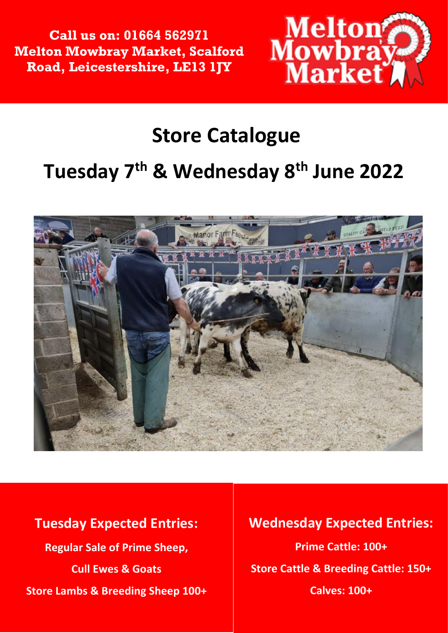**Call us on: 01664 562971 Melton Mowbray Market, Scalford Road, Leicestershire, LE13 1JY**



## **Store Catalogue**

## **Tuesday 7 th & Wednesday 8 th June 2022**



## **Tuesday Expected Entries: Regular Sale of Prime Sheep, Cull Ewes & Goats Store Lambs & Breeding Sheep 100+**

## **Wednesday Expected Entries: Prime Cattle: 100+ Store Cattle & Breeding Cattle: 150+ Calves: 100+**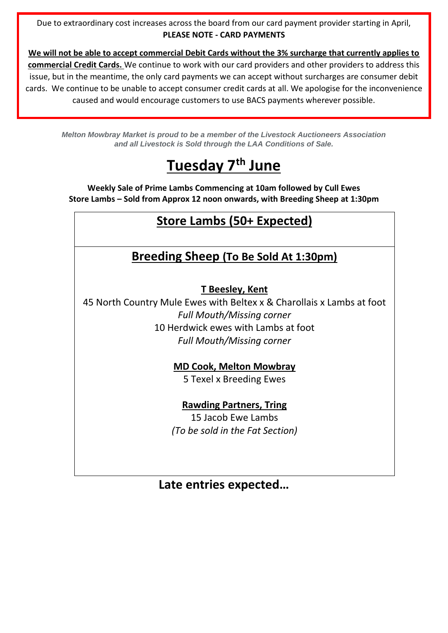Due to extraordinary cost increases across the board from our card payment provider starting in April, **PLEASE NOTE - CARD PAYMENTS**

**We will not be able to accept commercial Debit Cards without the 3% surcharge that currently applies to commercial Credit Cards.** We continue to work with our card providers and other providers to address this issue, but in the meantime, the only card payments we can accept without surcharges are consumer debit cards. We continue to be unable to accept consumer credit cards at all. We apologise for the inconvenience caused and would encourage customers to use BACS payments wherever possible.

*Melton Mowbray Market is proud to be a member of the Livestock Auctioneers Association and all Livestock is Sold through the LAA Conditions of Sale.*

## **Tuesday 7 th June**

**Weekly Sale of Prime Lambs Commencing at 10am followed by Cull Ewes Store Lambs – Sold from Approx 12 noon onwards, with Breeding Sheep at 1:30pm**

## **Store Lambs (50+ Expected)**

## **Breeding Sheep (To Be Sold At 1:30pm)**

#### **T Beesley, Kent**

45 North Country Mule Ewes with Beltex x & Charollais x Lambs at foot *Full Mouth/Missing corner* 10 Herdwick ewes with Lambs at foot *Full Mouth/Missing corner*

#### **MD Cook, Melton Mowbray**

5 Texel x Breeding Ewes

#### **Rawding Partners, Tring**

15 Jacob Ewe Lambs *(To be sold in the Fat Section)*

#### **Late entries expected…**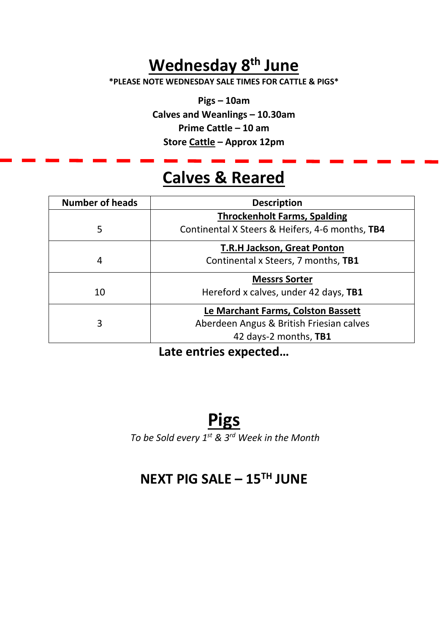## **Wednesday 8 th June**

**\*PLEASE NOTE WEDNESDAY SALE TIMES FOR CATTLE & PIGS\***

**Pigs – 10am Calves and Weanlings – 10.30am Prime Cattle – 10 am Store Cattle – Approx 12pm**

## **Calves & Reared**

| <b>Number of heads</b> | <b>Description</b>                              |
|------------------------|-------------------------------------------------|
|                        | <b>Throckenholt Farms, Spalding</b>             |
| 5                      | Continental X Steers & Heifers, 4-6 months, TB4 |
|                        | <b>T.R.H Jackson, Great Ponton</b>              |
| 4                      | Continental x Steers, 7 months, TB1             |
|                        | <b>Messrs Sorter</b>                            |
| 10                     | Hereford x calves, under 42 days, TB1           |
|                        | Le Marchant Farms, Colston Bassett              |
| 3                      | Aberdeen Angus & British Friesian calves        |
|                        | 42 days-2 months, TB1                           |

**Late entries expected…**

## **Pigs**

*To be Sold every 1st & 3rd Week in the Month*

## **NEXT PIG SALE – 15TH JUNE**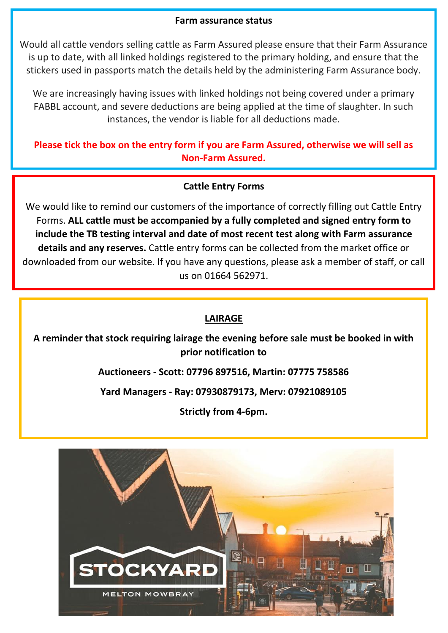#### **Farm assurance status**

Would all cattle vendors selling cattle as Farm Assured please ensure that their Farm Assurance is up to date, with all linked holdings registered to the primary holding, and ensure that the stickers used in passports match the details held by the administering Farm Assurance body.

We are increasingly having issues with linked holdings not being covered under a primary FABBL account, and severe deductions are being applied at the time of slaughter. In such instances, the vendor is liable for all deductions made.

**Please tick the box on the entry form if you are Farm Assured, otherwise we will sell as Non-Farm Assured.** 

#### **Cattle Entry Forms**

We would like to remind our customers of the importance of correctly filling out Cattle Entry Forms. **ALL cattle must be accompanied by a fully completed and signed entry form to include the TB testing interval and date of most recent test along with Farm assurance details and any reserves.** Cattle entry forms can be collected from the market office or downloaded from our website. If you have any questions, please ask a member of staff, or call us on 01664 562971.

#### **LAIRAGE**

**A reminder that stock requiring lairage the evening before sale must be booked in with prior notification to**

**Auctioneers - Scott: 07796 897516, Martin: 07775 758586**

**Yard Managers - Ray: 07930879173, Merv: 07921089105**

**Strictly from 4-6pm.** 

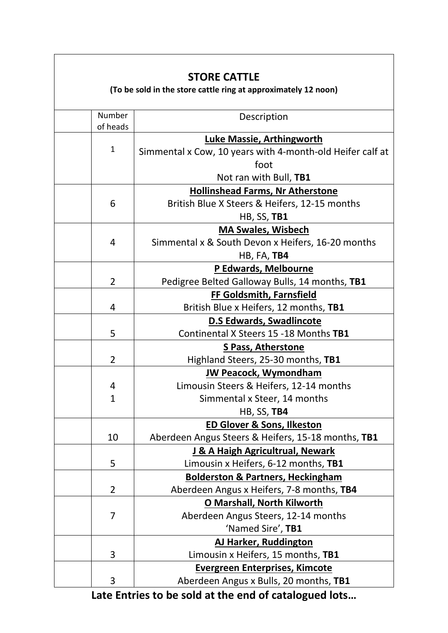| <b>STORE CATTLE</b><br>(To be sold in the store cattle ring at approximately 12 noon) |                                                           |  |  |
|---------------------------------------------------------------------------------------|-----------------------------------------------------------|--|--|
| Number<br>of heads                                                                    | Description                                               |  |  |
|                                                                                       | <b>Luke Massie, Arthingworth</b>                          |  |  |
| $\mathbf{1}$                                                                          | Simmental x Cow, 10 years with 4-month-old Heifer calf at |  |  |
|                                                                                       | foot                                                      |  |  |
|                                                                                       | Not ran with Bull, TB1                                    |  |  |
|                                                                                       | <b>Hollinshead Farms, Nr Atherstone</b>                   |  |  |
| 6                                                                                     | British Blue X Steers & Heifers, 12-15 months             |  |  |
|                                                                                       | <b>HB, SS, TB1</b>                                        |  |  |
|                                                                                       | <b>MA Swales, Wisbech</b>                                 |  |  |
| 4                                                                                     | Simmental x & South Devon x Heifers, 16-20 months         |  |  |
|                                                                                       | <b>HB, FA, TB4</b>                                        |  |  |
|                                                                                       | P Edwards, Melbourne                                      |  |  |
| $\overline{2}$                                                                        | Pedigree Belted Galloway Bulls, 14 months, TB1            |  |  |
|                                                                                       | FF Goldsmith, Farnsfield                                  |  |  |
| 4                                                                                     | British Blue x Heifers, 12 months, TB1                    |  |  |
|                                                                                       | <b>D.S Edwards, Swadlincote</b>                           |  |  |
| 5                                                                                     | Continental X Steers 15 -18 Months TB1                    |  |  |
|                                                                                       | <b>S Pass, Atherstone</b>                                 |  |  |
| 2                                                                                     | Highland Steers, 25-30 months, TB1                        |  |  |
|                                                                                       | <b>JW Peacock, Wymondham</b>                              |  |  |
| 4                                                                                     | Limousin Steers & Heifers, 12-14 months                   |  |  |
| $\mathbf{1}$                                                                          | Simmental x Steer, 14 months                              |  |  |
|                                                                                       | HB, SS, TB4                                               |  |  |
|                                                                                       | <b>ED Glover &amp; Sons, Ilkeston</b>                     |  |  |
| 10                                                                                    | Aberdeen Angus Steers & Heifers, 15-18 months, TB1        |  |  |
|                                                                                       | J & A Haigh Agricultrual, Newark                          |  |  |
| 5                                                                                     | Limousin x Heifers, 6-12 months, TB1                      |  |  |
|                                                                                       | <b>Bolderston &amp; Partners, Heckingham</b>              |  |  |
| $\overline{2}$                                                                        | Aberdeen Angus x Heifers, 7-8 months, TB4                 |  |  |
|                                                                                       | <b>O Marshall, North Kilworth</b>                         |  |  |
| 7                                                                                     | Aberdeen Angus Steers, 12-14 months                       |  |  |
|                                                                                       | 'Named Sire', TB1                                         |  |  |
|                                                                                       | AJ Harker, Ruddington                                     |  |  |
| 3                                                                                     | Limousin x Heifers, 15 months, TB1                        |  |  |
|                                                                                       | <b>Evergreen Enterprises, Kimcote</b>                     |  |  |
| 3                                                                                     | Aberdeen Angus x Bulls, 20 months, TB1                    |  |  |

**Late Entries to be sold at the end of catalogued lots…**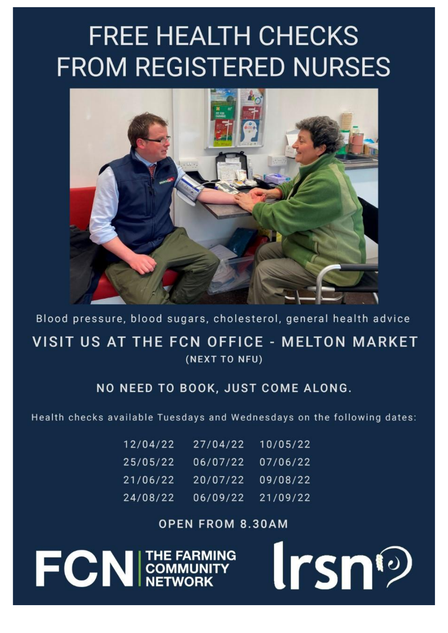# **FREE HEALTH CHECKS FROM REGISTERED NURSES**



Blood pressure, blood sugars, cholesterol, general health advice VISIT US AT THE FCN OFFICE - MELTON MARKET (NEXT TO NFU)

## NO NEED TO BOOK, JUST COME ALONG.

Health checks available Tuesdays and Wednesdays on the following dates:

| 12/04/22 | 27/04/22 | 10/05/22 |
|----------|----------|----------|
| 25/05/22 | 06/07/22 | 07/06/22 |
| 21/06/22 | 20/07/22 | 09/08/22 |
| 24/08/22 | 06/09/22 | 21/09/22 |

## **OPEN FROM 8.30AM**

**FCN** COMMUNITY

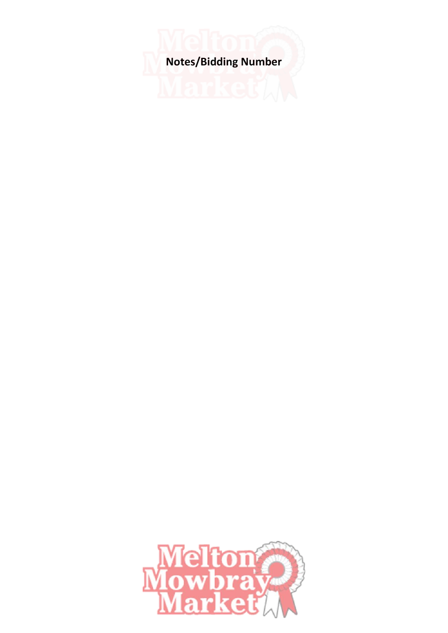**Notes/Bidding Number**